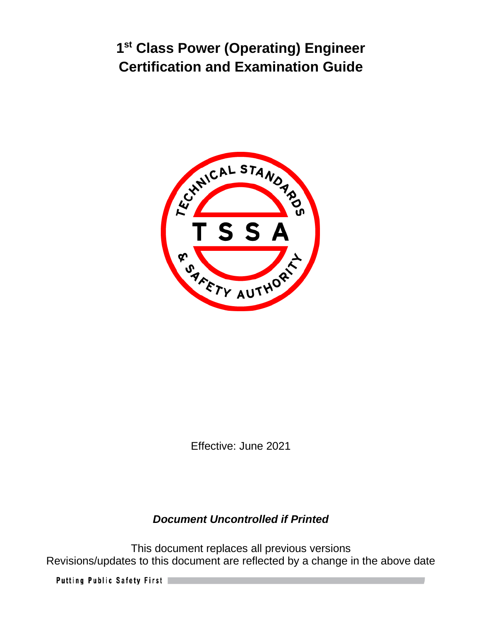

Effective: June 2021

# *Document Uncontrolled if Printed*

This document replaces all previous versions Revisions/updates to this document are reflected by a change in the above date

Putting Public Safety First |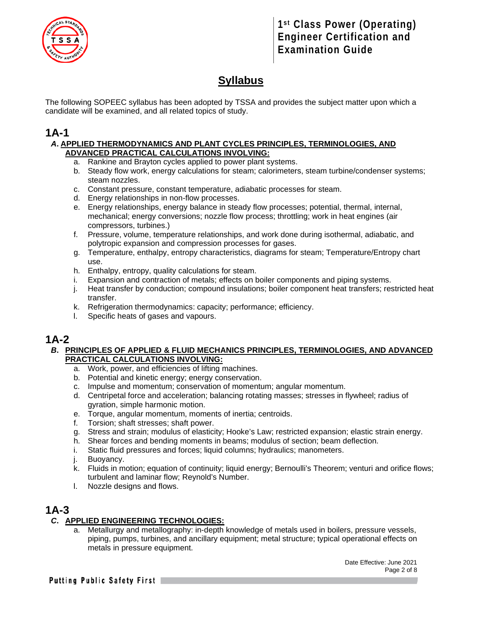

# **Syllabus**

The following SOPEEC syllabus has been adopted by TSSA and provides the subject matter upon which a candidate will be examined, and all related topics of study.

### **1A-1**

#### *A***. APPLIED THERMODYNAMICS AND PLANT CYCLES PRINCIPLES, TERMINOLOGIES, AND ADVANCED PRACTICAL CALCULATIONS INVOLVING:**

- a. Rankine and Brayton cycles applied to power plant systems.
- b. Steady flow work, energy calculations for steam; calorimeters, steam turbine/condenser systems; steam nozzles.
- c. Constant pressure, constant temperature, adiabatic processes for steam.
- d. Energy relationships in non-flow processes.
- e. Energy relationships, energy balance in steady flow processes; potential, thermal, internal, mechanical; energy conversions; nozzle flow process; throttling; work in heat engines (air compressors, turbines.)
- f. Pressure, volume, temperature relationships, and work done during isothermal, adiabatic, and polytropic expansion and compression processes for gases.
- g. Temperature, enthalpy, entropy characteristics, diagrams for steam; Temperature/Entropy chart use.
- h. Enthalpy, entropy, quality calculations for steam.
- i. Expansion and contraction of metals; effects on boiler components and piping systems.
- j. Heat transfer by conduction; compound insulations; boiler component heat transfers; restricted heat transfer.
- k. Refrigeration thermodynamics: capacity; performance; efficiency.
- l. Specific heats of gases and vapours.

### **1A-2**

#### *B***. PRINCIPLES OF APPLIED & FLUID MECHANICS PRINCIPLES, TERMINOLOGIES, AND ADVANCED PRACTICAL CALCULATIONS INVOLVING:**

- a. Work, power, and efficiencies of lifting machines.
- b. Potential and kinetic energy; energy conservation.
- c. Impulse and momentum; conservation of momentum; angular momentum.
- d. Centripetal force and acceleration; balancing rotating masses; stresses in flywheel; radius of gyration, simple harmonic motion.
- e. Torque, angular momentum, moments of inertia; centroids.
- f. Torsion; shaft stresses; shaft power.
- g. Stress and strain; modulus of elasticity; Hooke's Law; restricted expansion; elastic strain energy.
- h. Shear forces and bending moments in beams; modulus of section; beam deflection.
- i. Static fluid pressures and forces; liquid columns; hydraulics; manometers.
- j. Buoyancy.
- k. Fluids in motion; equation of continuity; liquid energy; Bernoulli's Theorem; venturi and orifice flows; turbulent and laminar flow; Reynold's Number.
- l. Nozzle designs and flows.

### **1A-3**

#### *C***. APPLIED ENGINEERING TECHNOLOGIES:**

a. Metallurgy and metallography: in-depth knowledge of metals used in boilers, pressure vessels, piping, pumps, turbines, and ancillary equipment; metal structure; typical operational effects on metals in pressure equipment.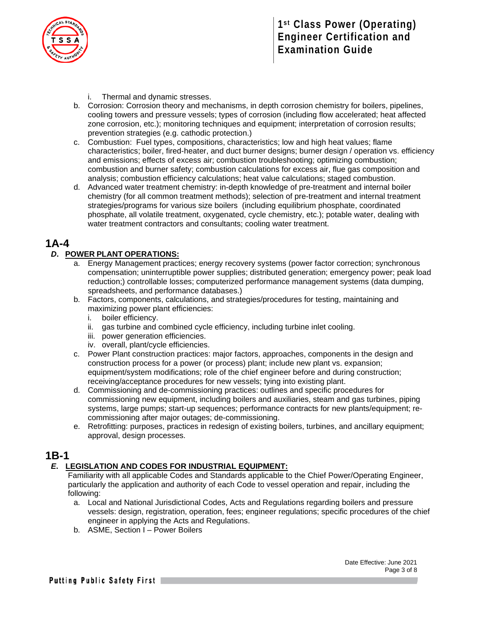

- i. Thermal and dynamic stresses.
- b. Corrosion: Corrosion theory and mechanisms, in depth corrosion chemistry for boilers, pipelines, cooling towers and pressure vessels; types of corrosion (including flow accelerated; heat affected zone corrosion, etc.); monitoring techniques and equipment; interpretation of corrosion results; prevention strategies (e.g. cathodic protection.)
- c. Combustion: Fuel types, compositions, characteristics; low and high heat values; flame characteristics; boiler, fired-heater, and duct burner designs; burner design / operation vs. efficiency and emissions; effects of excess air; combustion troubleshooting; optimizing combustion; combustion and burner safety; combustion calculations for excess air, flue gas composition and analysis; combustion efficiency calculations; heat value calculations; staged combustion.
- d. Advanced water treatment chemistry: in-depth knowledge of pre-treatment and internal boiler chemistry (for all common treatment methods); selection of pre-treatment and internal treatment strategies/programs for various size boilers (including equilibrium phosphate, coordinated phosphate, all volatile treatment, oxygenated, cycle chemistry, etc.); potable water, dealing with water treatment contractors and consultants; cooling water treatment.

### **1A-4**

#### *D***. POWER PLANT OPERATIONS:**

- a. Energy Management practices; energy recovery systems (power factor correction; synchronous compensation; uninterruptible power supplies; distributed generation; emergency power; peak load reduction;) controllable losses; computerized performance management systems (data dumping, spreadsheets, and performance databases.)
- b. Factors, components, calculations, and strategies/procedures for testing, maintaining and maximizing power plant efficiencies:
	- i. boiler efficiency.
	- ii. gas turbine and combined cycle efficiency, including turbine inlet cooling.
	- iii. power generation efficiencies.
	- iv. overall, plant/cycle efficiencies.
- c. Power Plant construction practices: major factors, approaches, components in the design and construction process for a power (or process) plant; include new plant vs. expansion; equipment/system modifications; role of the chief engineer before and during construction; receiving/acceptance procedures for new vessels; tying into existing plant.
- d. Commissioning and de-commissioning practices: outlines and specific procedures for commissioning new equipment, including boilers and auxiliaries, steam and gas turbines, piping systems, large pumps; start-up sequences; performance contracts for new plants/equipment; recommissioning after major outages; de-commissioning.
- e. Retrofitting: purposes, practices in redesign of existing boilers, turbines, and ancillary equipment; approval, design processes*.*

### **1B-1**

#### *E***. LEGISLATION AND CODES FOR INDUSTRIAL EQUIPMENT:**

Familiarity with all applicable Codes and Standards applicable to the Chief Power/Operating Engineer, particularly the application and authority of each Code to vessel operation and repair, including the following:

- a. Local and National Jurisdictional Codes, Acts and Regulations regarding boilers and pressure vessels: design, registration, operation, fees; engineer regulations; specific procedures of the chief engineer in applying the Acts and Regulations.
- b. ASME, Section I Power Boilers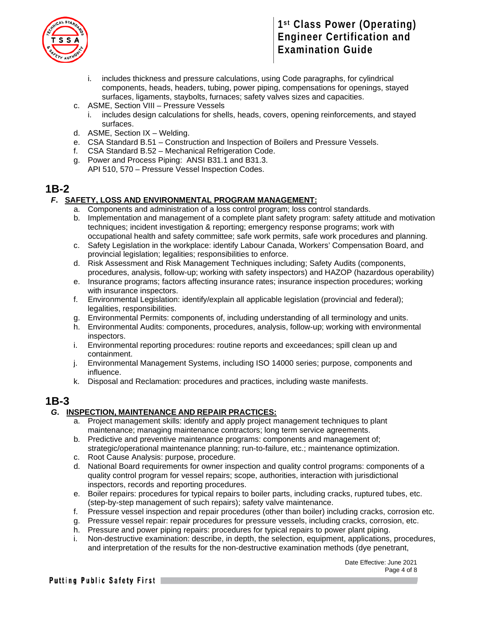

- includes thickness and pressure calculations, using Code paragraphs, for cylindrical components, heads, headers, tubing, power piping, compensations for openings, stayed surfaces, ligaments, staybolts, furnaces; safety valves sizes and capacities.
- c. ASME, Section VIII Pressure Vessels
	- i. includes design calculations for shells, heads, covers, opening reinforcements, and stayed surfaces.
- d. ASME, Section IX Welding.
- e. CSA Standard B.51 Construction and Inspection of Boilers and Pressure Vessels.
- f. CSA Standard B.52 Mechanical Refrigeration Code.
- g. Power and Process Piping: ANSI B31.1 and B31.3. API 510, 570 – Pressure Vessel Inspection Codes.

### **1B-2**

#### *F***. SAFETY, LOSS AND ENVIRONMENTAL PROGRAM MANAGEMENT:**

- a. Components and administration of a loss control program; loss control standards.
- b. Implementation and management of a complete plant safety program: safety attitude and motivation techniques; incident investigation & reporting; emergency response programs; work with occupational health and safety committee; safe work permits, safe work procedures and planning.
- c. Safety Legislation in the workplace: identify Labour Canada, Workers' Compensation Board, and provincial legislation; legalities; responsibilities to enforce.
- d. Risk Assessment and Risk Management Techniques including; Safety Audits (components, procedures, analysis, follow-up; working with safety inspectors) and HAZOP (hazardous operability)
- e. Insurance programs; factors affecting insurance rates; insurance inspection procedures; working with insurance inspectors.
- f. Environmental Legislation: identify/explain all applicable legislation (provincial and federal); legalities, responsibilities.
- g. Environmental Permits: components of, including understanding of all terminology and units.
- h. Environmental Audits: components, procedures, analysis, follow-up; working with environmental inspectors.
- i. Environmental reporting procedures: routine reports and exceedances; spill clean up and containment.
- j. Environmental Management Systems, including ISO 14000 series; purpose, components and influence.
- k. Disposal and Reclamation: procedures and practices, including waste manifests.

### **1B-3**

#### *G***. INSPECTION, MAINTENANCE AND REPAIR PRACTICES:**

- a. Project management skills: identify and apply project management techniques to plant maintenance; managing maintenance contractors; long term service agreements.
- b. Predictive and preventive maintenance programs: components and management of; strategic/operational maintenance planning; run-to-failure, etc.; maintenance optimization.
- c. Root Cause Analysis: purpose, procedure.
- d. National Board requirements for owner inspection and quality control programs: components of a quality control program for vessel repairs; scope, authorities, interaction with jurisdictional inspectors, records and reporting procedures.
- e. Boiler repairs: procedures for typical repairs to boiler parts, including cracks, ruptured tubes, etc. (step-by-step management of such repairs); safety valve maintenance.
- f. Pressure vessel inspection and repair procedures (other than boiler) including cracks, corrosion etc.
- g. Pressure vessel repair: repair procedures for pressure vessels, including cracks, corrosion, etc.
- h. Pressure and power piping repairs: procedures for typical repairs to power plant piping.
- i. Non-destructive examination: describe, in depth, the selection, equipment, applications, procedures, and interpretation of the results for the non-destructive examination methods (dye penetrant,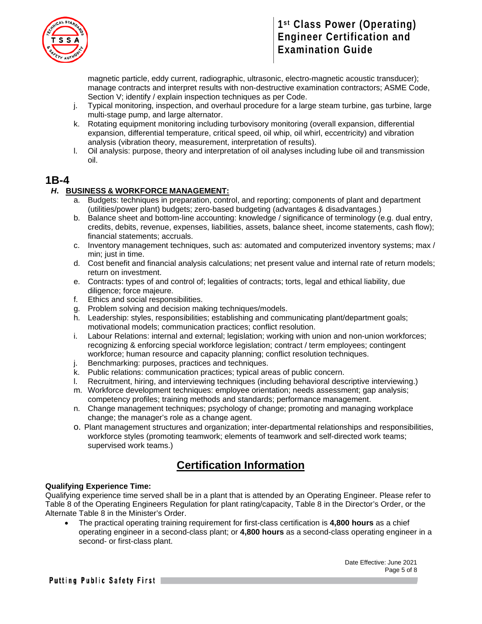

magnetic particle, eddy current, radiographic, ultrasonic, electro-magnetic acoustic transducer); manage contracts and interpret results with non-destructive examination contractors; ASME Code, Section V; identify / explain inspection techniques as per Code.

- j. Typical monitoring, inspection, and overhaul procedure for a large steam turbine, gas turbine, large multi-stage pump, and large alternator.
- k. Rotating equipment monitoring including turbovisory monitoring (overall expansion, differential expansion, differential temperature, critical speed, oil whip, oil whirl, eccentricity) and vibration analysis (vibration theory, measurement, interpretation of results).
- l. Oil analysis: purpose, theory and interpretation of oil analyses including lube oil and transmission oil.

### **1B-4**

#### *H***. BUSINESS & WORKFORCE MANAGEMENT:**

- a. Budgets: techniques in preparation, control, and reporting; components of plant and department (utilities/power plant) budgets; zero-based budgeting (advantages & disadvantages.)
- b. Balance sheet and bottom-line accounting: knowledge / significance of terminology (e.g. dual entry, credits, debits, revenue, expenses, liabilities, assets, balance sheet, income statements, cash flow); financial statements; accruals.
- c. Inventory management techniques, such as: automated and computerized inventory systems; max / min; just in time.
- d. Cost benefit and financial analysis calculations; net present value and internal rate of return models; return on investment.
- e. Contracts: types of and control of; legalities of contracts; torts, legal and ethical liability, due diligence; force majeure.
- f. Ethics and social responsibilities.
- g. Problem solving and decision making techniques/models.
- h. Leadership: styles, responsibilities; establishing and communicating plant/department goals; motivational models; communication practices; conflict resolution.
- i. Labour Relations: internal and external; legislation; working with union and non-union workforces; recognizing & enforcing special workforce legislation; contract / term employees; contingent workforce; human resource and capacity planning; conflict resolution techniques.
- j. Benchmarking: purposes, practices and techniques.
- k. Public relations: communication practices; typical areas of public concern.
- l. Recruitment, hiring, and interviewing techniques (including behavioral descriptive interviewing.)
- m. Workforce development techniques: employee orientation; needs assessment; gap analysis; competency profiles; training methods and standards; performance management.
- n. Change management techniques; psychology of change; promoting and managing workplace change; the manager's role as a change agent.
- o. Plant management structures and organization; inter-departmental relationships and responsibilities, workforce styles (promoting teamwork; elements of teamwork and self-directed work teams; supervised work teams.)

# **Certification Information**

#### **Qualifying Experience Time:**

Qualifying experience time served shall be in a plant that is attended by an Operating Engineer. Please refer to Table 8 of the Operating Engineers Regulation for plant rating/capacity, Table 8 in the Director's Order, or the Alternate Table 8 in the Minister's Order.

• The practical operating training requirement for first-class certification is **4,800 hours** as a chief operating engineer in a second-class plant; or **4,800 hours** as a second-class operating engineer in a second- or first-class plant.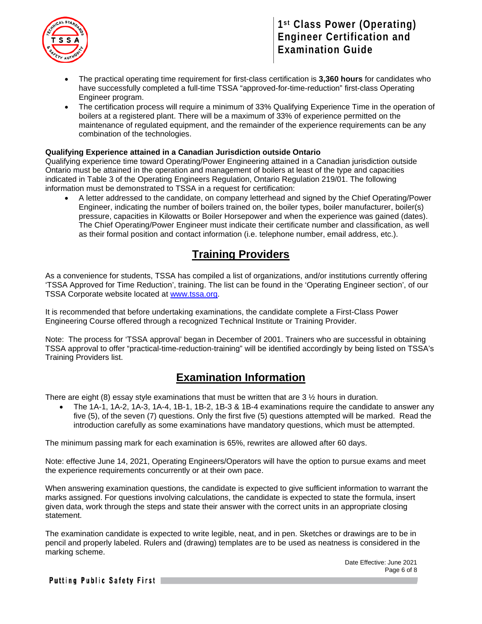

- The practical operating time requirement for first-class certification is **3,360 hours** for candidates who have successfully completed a full-time TSSA "approved-for-time-reduction" first-class Operating Engineer program.
- The certification process will require a minimum of 33% Qualifying Experience Time in the operation of boilers at a registered plant. There will be a maximum of 33% of experience permitted on the maintenance of regulated equipment, and the remainder of the experience requirements can be any combination of the technologies.

#### **Qualifying Experience attained in a Canadian Jurisdiction outside Ontario**

Qualifying experience time toward Operating/Power Engineering attained in a Canadian jurisdiction outside Ontario must be attained in the operation and management of boilers at least of the type and capacities indicated in Table 3 of the Operating Engineers Regulation, Ontario Regulation 219/01. The following information must be demonstrated to TSSA in a request for certification:

• A letter addressed to the candidate, on company letterhead and signed by the Chief Operating/Power Engineer, indicating the number of boilers trained on, the boiler types, boiler manufacturer, boiler(s) pressure, capacities in Kilowatts or Boiler Horsepower and when the experience was gained (dates). The Chief Operating/Power Engineer must indicate their certificate number and classification, as well as their formal position and contact information (i.e. telephone number, email address, etc.).

### **Training Providers**

As a convenience for students, TSSA has compiled a list of organizations, and/or institutions currently offering 'TSSA Approved for Time Reduction', training. The list can be found in the 'Operating Engineer section', of our TSSA Corporate website located at [www.tssa.org.](http://www.tssa.org/)

It is recommended that before undertaking examinations, the candidate complete a First-Class Power Engineering Course offered through a recognized Technical Institute or Training Provider.

Note: The process for 'TSSA approval' began in December of 2001. Trainers who are successful in obtaining TSSA approval to offer "practical-time-reduction-training" will be identified accordingly by being listed on TSSA's Training Providers list.

### **Examination Information**

There are eight (8) essay style examinations that must be written that are  $3\frac{1}{2}$  hours in duration.

• The 1A-1, 1A-2, 1A-3, 1A-4, 1B-1, 1B-2, 1B-3 & 1B-4 examinations require the candidate to answer any five (5), of the seven (7) questions. Only the first five (5) questions attempted will be marked. Read the introduction carefully as some examinations have mandatory questions, which must be attempted.

The minimum passing mark for each examination is 65%, rewrites are allowed after 60 days.

Note: effective June 14, 2021, Operating Engineers/Operators will have the option to pursue exams and meet the experience requirements concurrently or at their own pace.

When answering examination questions, the candidate is expected to give sufficient information to warrant the marks assigned. For questions involving calculations, the candidate is expected to state the formula, insert given data, work through the steps and state their answer with the correct units in an appropriate closing statement.

The examination candidate is expected to write legible, neat, and in pen. Sketches or drawings are to be in pencil and properly labeled. Rulers and (drawing) templates are to be used as neatness is considered in the marking scheme.

> Date Effective: June 2021 Page 6 of 8

Putting Public Safety First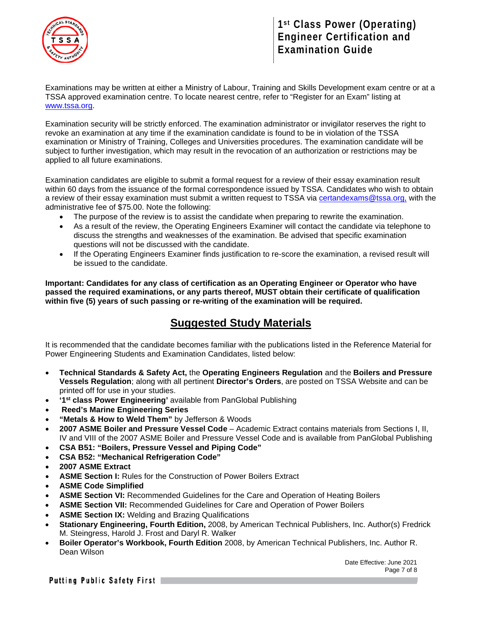

Examinations may be written at either a Ministry of Labour, Training and Skills Development exam centre or at a TSSA approved examination centre. To locate nearest centre, refer to "Register for an Exam" listing at [www.tssa.org.](http://www.tssa.org/)

Examination security will be strictly enforced. The examination administrator or invigilator reserves the right to revoke an examination at any time if the examination candidate is found to be in violation of the TSSA examination or Ministry of Training, Colleges and Universities procedures. The examination candidate will be subject to further investigation, which may result in the revocation of an authorization or restrictions may be applied to all future examinations.

Examination candidates are eligible to submit a formal request for a review of their essay examination result within 60 days from the issuance of the formal correspondence issued by TSSA. Candidates who wish to obtain a review of their essay examination must submit a written request to TSSA via [certandexams@tssa.org,](mailto:certandexams@tssa.org) with the administrative fee of \$75.00. Note the following:

- The purpose of the review is to assist the candidate when preparing to rewrite the examination.
- As a result of the review, the Operating Engineers Examiner will contact the candidate via telephone to discuss the strengths and weaknesses of the examination. Be advised that specific examination questions will not be discussed with the candidate.
- If the Operating Engineers Examiner finds justification to re-score the examination, a revised result will be issued to the candidate.

**Important: Candidates for any class of certification as an Operating Engineer or Operator who have passed the required examinations, or any parts thereof, MUST obtain their certificate of qualification within five (5) years of such passing or re-writing of the examination will be required.** 

### **Suggested Study Materials**

It is recommended that the candidate becomes familiar with the publications listed in the Reference Material for Power Engineering Students and Examination Candidates, listed below:

- **Technical Standards & Safety Act,** the **Operating Engineers Regulation** and the **Boilers and Pressure Vessels Regulation**; along with all pertinent **Director's Orders**, are posted on TSSA Website and can be printed off for use in your studies.
- **'1st class Power Engineering'** available from PanGlobal Publishing
- **Reed's Marine Engineering Series**
- **"Metals & How to Weld Them"** by Jefferson & Woods
- **2007 ASME Boiler and Pressure Vessel Code**  Academic Extract contains materials from Sections I, II, IV and VIII of the 2007 ASME Boiler and Pressure Vessel Code and is available from PanGlobal Publishing
- **CSA B51: "Boilers, Pressure Vessel and Piping Code"**
- **CSA B52: "Mechanical Refrigeration Code"**
- **2007 ASME Extract**
- **ASME Section I:** Rules for the Construction of Power Boilers Extract
- **ASME Code Simplified**
- **ASME Section VI:** Recommended Guidelines for the Care and Operation of Heating Boilers
- **ASME Section VII:** Recommended Guidelines for Care and Operation of Power Boilers
- **ASME Section IX:** Welding and Brazing Qualifications
- **Stationary Engineering, Fourth Edition,** 2008, by American Technical Publishers, Inc. Author(s) Fredrick M. Steingress, Harold J. Frost and Daryl R. Walker
- **Boiler Operator's Workbook, Fourth Edition** 2008, by American Technical Publishers, Inc. Author R. Dean Wilson

Date Effective: June 2021 Page 7 of 8

Putting Public Safety First